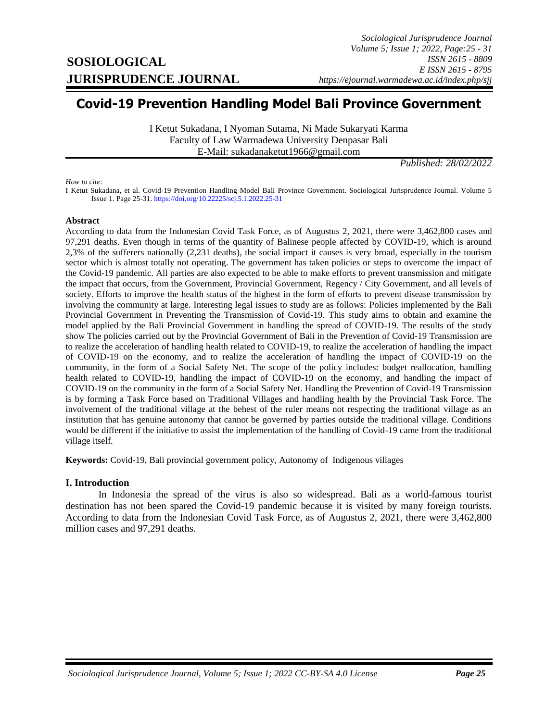# **Covid-19 Prevention Handling Model Bali Province Government**

I Ketut Sukadana, I Nyoman Sutama, Ni Made Sukaryati Karma Faculty of Law Warmadewa University Denpasar Bali E-Mail: sukadanaketut1966@gmail.com

*Published: 28/02/2022*

*How to cite:*

I Ketut Sukadana, et al. Covid-19 Prevention Handling Model Bali Province Government. Sociological Jurisprudence Journal. Volume 5 Issue 1. Page 25-31[. https://doi.org/10.22225/scj.5.1.2022.25-31](https://doi.org/10.22225/scj.5.1.2022.25-31)

#### **Abstract**

According to data from the Indonesian Covid Task Force, as of Augustus 2, 2021, there were 3,462,800 cases and 97,291 deaths. Even though in terms of the quantity of Balinese people affected by COVID-19, which is around 2,3% of the sufferers nationally (2,231 deaths), the social impact it causes is very broad, especially in the tourism sector which is almost totally not operating. The government has taken policies or steps to overcome the impact of the Covid-19 pandemic. All parties are also expected to be able to make efforts to prevent transmission and mitigate the impact that occurs, from the Government, Provincial Government, Regency / City Government, and all levels of society. Efforts to improve the health status of the highest in the form of efforts to prevent disease transmission by involving the community at large. Interesting legal issues to study are as follows: Policies implemented by the Bali Provincial Government in Preventing the Transmission of Covid-19. This study aims to obtain and examine the model applied by the Bali Provincial Government in handling the spread of COVID-19. The results of the study show The policies carried out by the Provincial Government of Bali in the Prevention of Covid-19 Transmission are to realize the acceleration of handling health related to COVID-19, to realize the acceleration of handling the impact of COVID-19 on the economy, and to realize the acceleration of handling the impact of COVID-19 on the community, in the form of a Social Safety Net. The scope of the policy includes: budget reallocation, handling health related to COVID-19, handling the impact of COVID-19 on the economy, and handling the impact of COVID-19 on the community in the form of a Social Safety Net. Handling the Prevention of Covid-19 Transmission is by forming a Task Force based on Traditional Villages and handling health by the Provincial Task Force. The involvement of the traditional village at the behest of the ruler means not respecting the traditional village as an institution that has genuine autonomy that cannot be governed by parties outside the traditional village. Conditions would be different if the initiative to assist the implementation of the handling of Covid-19 came from the traditional village itself.

**Keywords:** Covid-19, Bali provincial government policy, Autonomy of Indigenous villages

#### **I. Introduction**

<span id="page-0-0"></span>In Indonesia the spread of the virus is also so widespread. Bali as a world-famous tourist destination has not been spared the Covid-19 pandemic because it is visited by many foreign tourists. According to data from the Indonesian Covid Task Force, as of Augustus 2, 2021, there were 3,462,800 million cases and 97,291 deaths.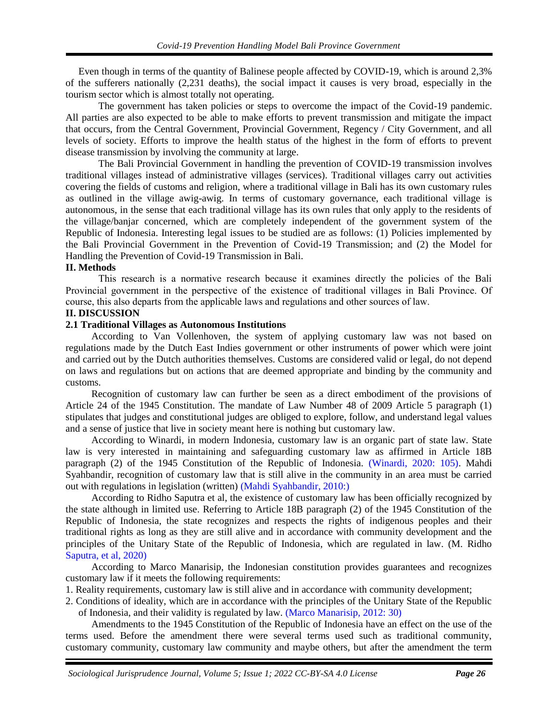Even though in terms of the quantity of Balinese people affected by COVID-19, which is around 2,3% of the sufferers nationally (2,231 deaths), the social impact it causes is very broad, especially in the tourism sector which is almost totally not operating.

The government has taken policies or steps to overcome the impact of the Covid-19 pandemic. All parties are also expected to be able to make efforts to prevent transmission and mitigate the impact that occurs, from the Central Government, Provincial Government, Regency / City Government, and all levels of society. Efforts to improve the health status of the highest in the form of efforts to prevent disease transmission by involving the community at large.

The Bali Provincial Government in handling the prevention of COVID-19 transmission involves traditional villages instead of administrative villages (services). Traditional villages carry out activities covering the fields of customs and religion, where a traditional village in Bali has its own customary rules as outlined in the village awig-awig. In terms of customary governance, each traditional village is autonomous, in the sense that each traditional village has its own rules that only apply to the residents of the village/banjar concerned, which are completely independent of the government system of the Republic of Indonesia. Interesting legal issues to be studied are as follows: (1) Policies implemented by the Bali Provincial Government in the Prevention of Covid-19 Transmission; and (2) the Model for Handling the Prevention of Covid-19 Transmission in Bali.

#### **II. Methods**

This research is a normative research because it examines directly the policies of the Bali Provincial government in the perspective of the existence of traditional villages in Bali Province. Of course, this also departs from the applicable laws and regulations and other sources of law.

#### **II. DISCUSSION**

# **2.1 Traditional Villages as Autonomous Institutions**

According to Van Vollenhoven, the system of applying customary law was not based on regulations made by the Dutch East Indies government or other instruments of power which were joint and carried out by the Dutch authorities themselves. Customs are considered valid or legal, do not depend on laws and regulations but on actions that are deemed appropriate and binding by the community and customs.

Recognition of customary law can further be seen as a direct embodiment of the provisions of Article 24 of the 1945 Constitution. The mandate of Law Number 48 of 2009 Article 5 paragraph (1) stipulates that judges and constitutional judges are obliged to explore, follow, and understand legal values and a sense of justice that live in society meant here is nothing but customary law.

According to Winardi, in modern Indonesia, customary law is an organic part of state law. State law is very interested in maintaining and safeguarding customary law as affirmed in Article 18B paragraph (2) of the 1945 Constitution of the Republic of Indonesia. [\(Winardi, 2020: 105\).](#page-0-0) Mahdi Syahbandir, recognition of customary law that is still alive in the community in an area must be carried out with regulations in legislation (written) [\(Mahdi Syahbandir, 2010:\)](#page-0-0)

According to Ridho Saputra et al, the existence of customary law has been officially recognized by the state although in limited use. Referring to Article 18B paragraph (2) of the 1945 Constitution of the Republic of Indonesia, the state recognizes and respects the rights of indigenous peoples and their traditional rights as long as they are still alive and in accordance with community development and the principles of the Unitary State of the Republic of Indonesia, which are regulated in law. (M. Ridho [Saputra, et al, 2020\)](#page-0-0)

According to Marco Manarisip, the Indonesian constitution provides guarantees and recognizes customary law if it meets the following requirements:

- 1. Reality requirements, customary law is still alive and in accordance with community development;
- 2. Conditions of ideality, which are in accordance with the principles of the Unitary State of the Republic of Indonesia, and their validity is regulated by law. [\(Marco Manarisip, 2012: 30\)](#page-0-0)

Amendments to the 1945 Constitution of the Republic of Indonesia have an effect on the use of the terms used. Before the amendment there were several terms used such as traditional community, customary community, customary law community and maybe others, but after the amendment the term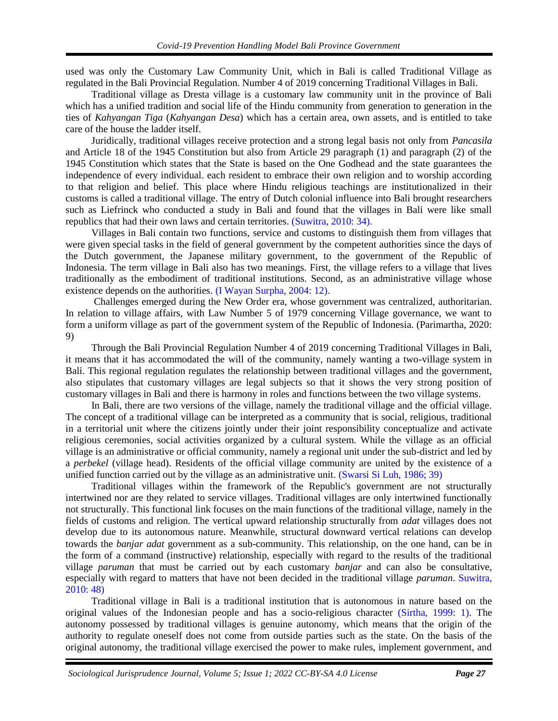used was only the Customary Law Community Unit, which in Bali is called Traditional Village as regulated in the Bali Provincial Regulation. Number 4 of 2019 concerning Traditional Villages in Bali.

Traditional village as Dresta village is a customary law community unit in the province of Bali which has a unified tradition and social life of the Hindu community from generation to generation in the ties of *Kahyangan Tiga* (*Kahyangan Desa*) which has a certain area, own assets, and is entitled to take care of the house the ladder itself.

Juridically, traditional villages receive protection and a strong legal basis not only from *Pancasila* and Article 18 of the 1945 Constitution but also from Article 29 paragraph (1) and paragraph (2) of the 1945 Constitution which states that the State is based on the One Godhead and the state guarantees the independence of every individual. each resident to embrace their own religion and to worship according to that religion and belief. This place where Hindu religious teachings are institutionalized in their customs is called a traditional village. The entry of Dutch colonial influence into Bali brought researchers such as Liefrinck who conducted a study in Bali and found that the villages in Bali were like small republics that had their own laws and certain territories. [\(Suwitra, 2010: 34\).](#page-0-0)

Villages in Bali contain two functions, service and customs to distinguish them from villages that were given special tasks in the field of general government by the competent authorities since the days of the Dutch government, the Japanese military government, to the government of the Republic of Indonesia. The term village in Bali also has two meanings. First, the village refers to a village that lives traditionally as the embodiment of traditional institutions. Second, as an administrative village whose existence depends on the authorities. [\(I Wayan Surpha, 2004: 12\).](#page-0-0)

Challenges emerged during the New Order era, whose government was centralized, authoritarian. In relation to village affairs, with Law Number 5 of 1979 concerning Village governance, we want to form a uniform village as part of the government system of the Republic of Indonesia. (Parimartha, 2020: 9)

Through the Bali Provincial Regulation Number 4 of 2019 concerning Traditional Villages in Bali, it means that it has accommodated the will of the community, namely wanting a two-village system in Bali. This regional regulation regulates the relationship between traditional villages and the government, also stipulates that customary villages are legal subjects so that it shows the very strong position of customary villages in Bali and there is harmony in roles and functions between the two village systems.

In Bali, there are two versions of the village, namely the traditional village and the official village. The concept of a traditional village can be interpreted as a community that is social, religious, traditional in a territorial unit where the citizens jointly under their joint responsibility conceptualize and activate religious ceremonies, social activities organized by a cultural system. While the village as an official village is an administrative or official community, namely a regional unit under the sub-district and led by a *perbekel* (village head). Residents of the official village community are united by the existence of a unified function carried out by the village as an administrative unit. [\(Swarsi Si Luh, 1986; 39\)](#page-0-0)

Traditional villages within the framework of the Republic's government are not structurally intertwined nor are they related to service villages. Traditional villages are only intertwined functionally not structurally. This functional link focuses on the main functions of the traditional village, namely in the fields of customs and religion. The vertical upward relationship structurally from *adat* villages does not develop due to its autonomous nature. Meanwhile, structural downward vertical relations can develop towards the *banjar adat* government as a sub-community. This relationship, on the one hand, can be in the form of a command (instructive) relationship, especially with regard to the results of the traditional village *paruman* that must be carried out by each customary *banjar* and can also be consultative, especially with regard to matters that have not been decided in the traditional village *paruman*. [Suwitra,](#page-0-0)  [2010: 48\)](#page-0-0)

Traditional village in Bali is a traditional institution that is autonomous in nature based on the original values of the Indonesian people and has a socio-religious character [\(Sirtha, 1999: 1\).](#page-0-0) The autonomy possessed by traditional villages is genuine autonomy, which means that the origin of the authority to regulate oneself does not come from outside parties such as the state. On the basis of the original autonomy, the traditional village exercised the power to make rules, implement government, and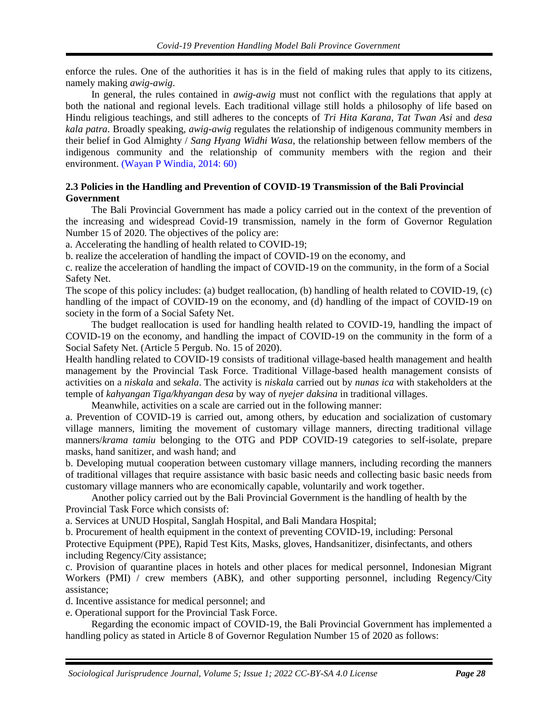enforce the rules. One of the authorities it has is in the field of making rules that apply to its citizens, namely making *awig-awig*.

In general, the rules contained in *awig-awig* must not conflict with the regulations that apply at both the national and regional levels. Each traditional village still holds a philosophy of life based on Hindu religious teachings, and still adheres to the concepts of *Tri Hita Karana*, *Tat Twan Asi* and *desa kala patra*. Broadly speaking, *awig-awig* regulates the relationship of indigenous community members in their belief in God Almighty / *Sang Hyang Widhi Wasa*, the relationship between fellow members of the indigenous community and the relationship of community members with the region and their environment. [\(Wayan P Windia, 2014: 60\)](#page-0-0)

# **2.3 Policies in the Handling and Prevention of COVID-19 Transmission of the Bali Provincial Government**

The Bali Provincial Government has made a policy carried out in the context of the prevention of the increasing and widespread Covid-19 transmission, namely in the form of Governor Regulation Number 15 of 2020. The objectives of the policy are:

a. Accelerating the handling of health related to COVID-19;

b. realize the acceleration of handling the impact of COVID-19 on the economy, and

c. realize the acceleration of handling the impact of COVID-19 on the community, in the form of a Social Safety Net.

The scope of this policy includes: (a) budget reallocation, (b) handling of health related to COVID-19, (c) handling of the impact of COVID-19 on the economy, and (d) handling of the impact of COVID-19 on society in the form of a Social Safety Net.

The budget reallocation is used for handling health related to COVID-19, handling the impact of COVID-19 on the economy, and handling the impact of COVID-19 on the community in the form of a Social Safety Net. (Article 5 Pergub. No. 15 of 2020).

Health handling related to COVID-19 consists of traditional village-based health management and health management by the Provincial Task Force. Traditional Village-based health management consists of activities on a *niskala* and *sekala*. The activity is *niskala* carried out by *nunas ica* with stakeholders at the temple of *kahyangan Tiga/khyangan desa* by way of *nyejer daksina* in traditional villages.

Meanwhile, activities on a scale are carried out in the following manner:

a. Prevention of COVID-19 is carried out, among others, by education and socialization of customary village manners, limiting the movement of customary village manners, directing traditional village manners/*krama tamiu* belonging to the OTG and PDP COVID-19 categories to self-isolate, prepare masks, hand sanitizer, and wash hand; and

b. Developing mutual cooperation between customary village manners, including recording the manners of traditional villages that require assistance with basic basic needs and collecting basic basic needs from customary village manners who are economically capable, voluntarily and work together.

Another policy carried out by the Bali Provincial Government is the handling of health by the Provincial Task Force which consists of:

a. Services at UNUD Hospital, Sanglah Hospital, and Bali Mandara Hospital;

b. Procurement of health equipment in the context of preventing COVID-19, including: Personal Protective Equipment (PPE), Rapid Test Kits, Masks, gloves, Handsanitizer, disinfectants, and others including Regency/City assistance;

c. Provision of quarantine places in hotels and other places for medical personnel, Indonesian Migrant Workers (PMI) / crew members (ABK), and other supporting personnel, including Regency/City assistance;

d. Incentive assistance for medical personnel; and

e. Operational support for the Provincial Task Force.

Regarding the economic impact of COVID-19, the Bali Provincial Government has implemented a handling policy as stated in Article 8 of Governor Regulation Number 15 of 2020 as follows: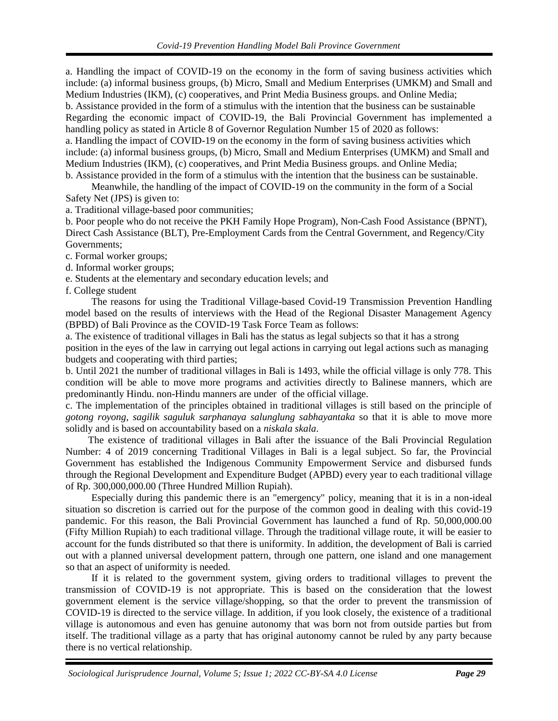a. Handling the impact of COVID-19 on the economy in the form of saving business activities which include: (a) informal business groups, (b) Micro, Small and Medium Enterprises (UMKM) and Small and Medium Industries (IKM), (c) cooperatives, and Print Media Business groups. and Online Media; b. Assistance provided in the form of a stimulus with the intention that the business can be sustainable Regarding the economic impact of COVID-19, the Bali Provincial Government has implemented a handling policy as stated in Article 8 of Governor Regulation Number 15 of 2020 as follows: a. Handling the impact of COVID-19 on the economy in the form of saving business activities which include: (a) informal business groups, (b) Micro, Small and Medium Enterprises (UMKM) and Small and Medium Industries (IKM), (c) cooperatives, and Print Media Business groups. and Online Media; b. Assistance provided in the form of a stimulus with the intention that the business can be sustainable.

Meanwhile, the handling of the impact of COVID-19 on the community in the form of a Social Safety Net (JPS) is given to:

a. Traditional village-based poor communities;

b. Poor people who do not receive the PKH Family Hope Program), Non-Cash Food Assistance (BPNT), Direct Cash Assistance (BLT), Pre-Employment Cards from the Central Government, and Regency/City Governments;

c. Formal worker groups;

d. Informal worker groups;

e. Students at the elementary and secondary education levels; and

f. College student

The reasons for using the Traditional Village-based Covid-19 Transmission Prevention Handling model based on the results of interviews with the Head of the Regional Disaster Management Agency (BPBD) of Bali Province as the COVID-19 Task Force Team as follows:

a. The existence of traditional villages in Bali has the status as legal subjects so that it has a strong position in the eyes of the law in carrying out legal actions in carrying out legal actions such as managing budgets and cooperating with third parties;

b. Until 2021 the number of traditional villages in Bali is 1493, while the official village is only 778. This condition will be able to move more programs and activities directly to Balinese manners, which are predominantly Hindu. non-Hindu manners are under of the official village.

c. The implementation of the principles obtained in traditional villages is still based on the principle of *gotong royong*, *sagilik saguluk sarphanaya salunglung sabhayantaka* so that it is able to move more solidly and is based on accountability based on a *niskala skala*.

 The existence of traditional villages in Bali after the issuance of the Bali Provincial Regulation Number: 4 of 2019 concerning Traditional Villages in Bali is a legal subject. So far, the Provincial Government has established the Indigenous Community Empowerment Service and disbursed funds through the Regional Development and Expenditure Budget (APBD) every year to each traditional village of Rp. 300,000,000.00 (Three Hundred Million Rupiah).

Especially during this pandemic there is an "emergency" policy, meaning that it is in a non-ideal situation so discretion is carried out for the purpose of the common good in dealing with this covid-19 pandemic. For this reason, the Bali Provincial Government has launched a fund of Rp. 50,000,000.00 (Fifty Million Rupiah) to each traditional village. Through the traditional village route, it will be easier to account for the funds distributed so that there is uniformity. In addition, the development of Bali is carried out with a planned universal development pattern, through one pattern, one island and one management so that an aspect of uniformity is needed.

If it is related to the government system, giving orders to traditional villages to prevent the transmission of COVID-19 is not appropriate. This is based on the consideration that the lowest government element is the service village/shopping, so that the order to prevent the transmission of COVID-19 is directed to the service village. In addition, if you look closely, the existence of a traditional village is autonomous and even has genuine autonomy that was born not from outside parties but from itself. The traditional village as a party that has original autonomy cannot be ruled by any party because there is no vertical relationship.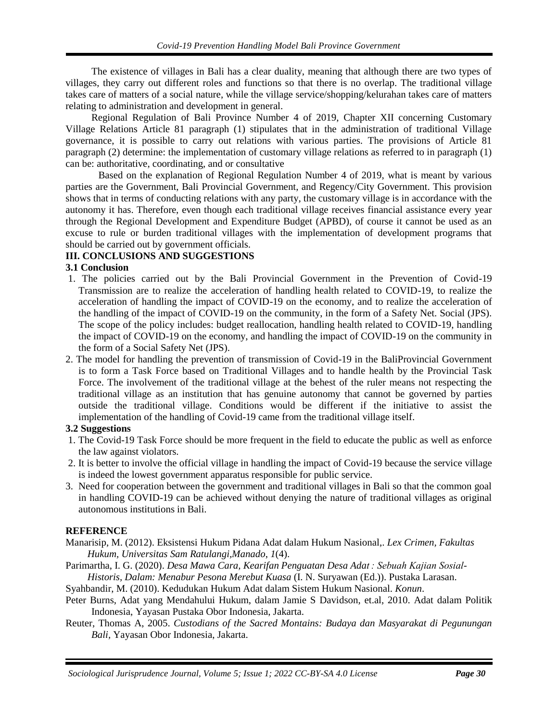The existence of villages in Bali has a clear duality, meaning that although there are two types of villages, they carry out different roles and functions so that there is no overlap. The traditional village takes care of matters of a social nature, while the village service/shopping/kelurahan takes care of matters relating to administration and development in general.

Regional Regulation of Bali Province Number 4 of 2019, Chapter XII concerning Customary Village Relations Article 81 paragraph (1) stipulates that in the administration of traditional Village governance, it is possible to carry out relations with various parties. The provisions of Article 81 paragraph (2) determine: the implementation of customary village relations as referred to in paragraph (1) can be: authoritative, coordinating, and or consultative

Based on the explanation of Regional Regulation Number 4 of 2019, what is meant by various parties are the Government, Bali Provincial Government, and Regency/City Government. This provision shows that in terms of conducting relations with any party, the customary village is in accordance with the autonomy it has. Therefore, even though each traditional village receives financial assistance every year through the Regional Development and Expenditure Budget (APBD), of course it cannot be used as an excuse to rule or burden traditional villages with the implementation of development programs that should be carried out by government officials.

# **III. CONCLUSIONS AND SUGGESTIONS**

### **3.1 Conclusion**

- 1. The policies carried out by the Bali Provincial Government in the Prevention of Covid-19 Transmission are to realize the acceleration of handling health related to COVID-19, to realize the acceleration of handling the impact of COVID-19 on the economy, and to realize the acceleration of the handling of the impact of COVID-19 on the community, in the form of a Safety Net. Social (JPS). The scope of the policy includes: budget reallocation, handling health related to COVID-19, handling the impact of COVID-19 on the economy, and handling the impact of COVID-19 on the community in the form of a Social Safety Net (JPS).
- 2. The model for handling the prevention of transmission of Covid-19 in the BaliProvincial Government is to form a Task Force based on Traditional Villages and to handle health by the Provincial Task Force. The involvement of the traditional village at the behest of the ruler means not respecting the traditional village as an institution that has genuine autonomy that cannot be governed by parties outside the traditional village. Conditions would be different if the initiative to assist the implementation of the handling of Covid-19 came from the traditional village itself.

### **3.2 Suggestions**

- 1. The Covid-19 Task Force should be more frequent in the field to educate the public as well as enforce the law against violators.
- 2. It is better to involve the official village in handling the impact of Covid-19 because the service village is indeed the lowest government apparatus responsible for public service.
- 3. Need for cooperation between the government and traditional villages in Bali so that the common goal in handling COVID-19 can be achieved without denying the nature of traditional villages as original autonomous institutions in Bali.

### **REFERENCE**

- Manarisip, M. (2012). Eksistensi Hukum Pidana Adat dalam Hukum Nasional,. *Lex Crimen, Fakultas Hukum, Universitas Sam Ratulangi,Manado*, *1*(4).
- Parimartha, I. G. (2020). *Desa Mawa Cara, Kearifan Penguatan Desa Adat : Sebuah Kajian Sosial-Historis, Dalam: Menabur Pesona Merebut Kuasa* (I. N. Suryawan (Ed.)). Pustaka Larasan.
- Syahbandir, M. (2010). Kedudukan Hukum Adat dalam Sistem Hukum Nasional. *Konun*.
- Peter Burns, Adat yang Mendahului Hukum, dalam Jamie S Davidson, et.al, 2010. Adat dalam Politik Indonesia, Yayasan Pustaka Obor Indonesia, Jakarta.
- Reuter, Thomas A, 2005. *Custodians of the Sacred Montains: Budaya dan Masyarakat di Pegunungan Bali,* Yayasan Obor Indonesia, Jakarta.